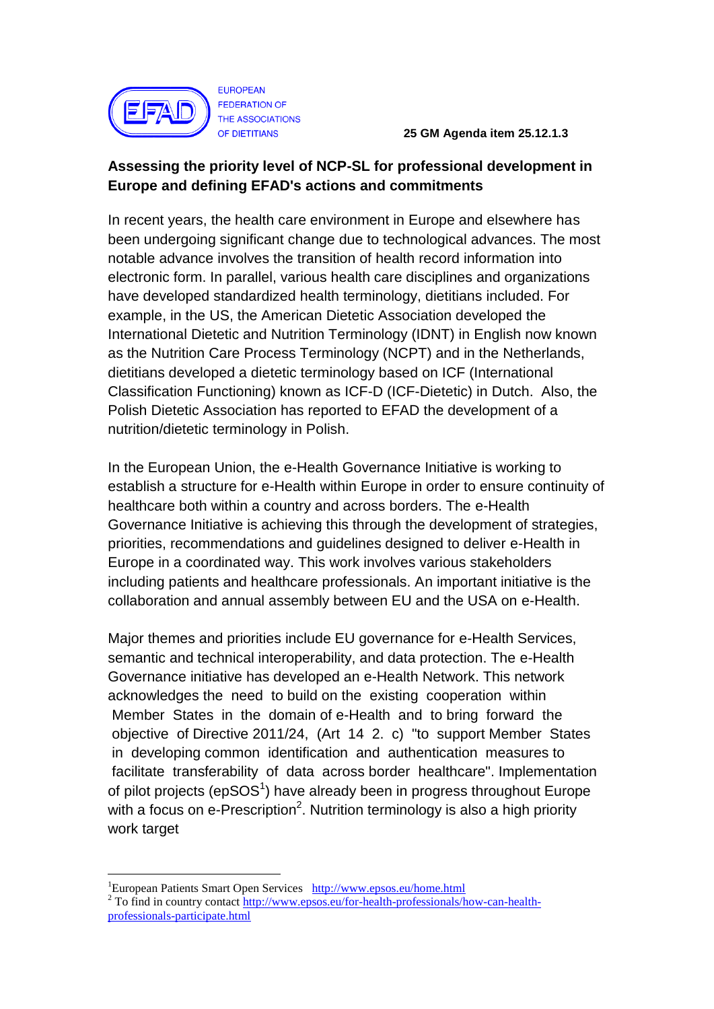

 **25 GM Agenda item 25.12.1.3**

## **Assessing the priority level of NCP-SL for professional development in Europe and defining EFAD's actions and commitments**

In recent years, the health care environment in Europe and elsewhere has been undergoing significant change due to technological advances. The most notable advance involves the transition of health record information into electronic form. In parallel, various health care disciplines and organizations have developed standardized health terminology, dietitians included. For example, in the US, the American Dietetic Association developed the International Dietetic and Nutrition Terminology (IDNT) in English now known as the Nutrition Care Process Terminology (NCPT) and in the Netherlands, dietitians developed a dietetic terminology based on ICF (International Classification Functioning) known as ICF-D (ICF-Dietetic) in Dutch. Also, the Polish Dietetic Association has reported to EFAD the development of a nutrition/dietetic terminology in Polish.

In the European Union, the e-Health Governance Initiative is working to establish a structure for e-Health within Europe in order to ensure continuity of healthcare both within a country and across borders. The e-Health Governance Initiative is achieving this through the development of strategies, priorities, recommendations and guidelines designed to deliver e-Health in Europe in a coordinated way. This work involves various stakeholders including patients and healthcare professionals. An important initiative is the collaboration and annual assembly between EU and the USA on e-Health.

Major themes and priorities include EU governance for e-Health Services, semantic and technical interoperability, and data protection. The e-Health Governance initiative has developed an e-Health Network. This network acknowledges the need to build on the existing cooperation within Member States in the domain of e-Health and to bring forward the objective of Directive 2011/24, (Art 14 2. c) "to support Member States in developing common identification and authentication measures to facilitate transferability of data across border healthcare". Implementation of pilot projects (epSOS<sup>1</sup>) have already been in progress throughout Europe with a focus on e-Prescription<sup>2</sup>. Nutrition terminology is also a high priority work target

<u>.</u>

<sup>1</sup>European Patients Smart Open Services <http://www.epsos.eu/home.html> <sup>2</sup> To find in country contac[t http://www.epsos.eu/for-health-professionals/how-can-health](http://www.epsos.eu/for-health-professionals/how-can-health-professionals-participate.html)[professionals-participate.html](http://www.epsos.eu/for-health-professionals/how-can-health-professionals-participate.html)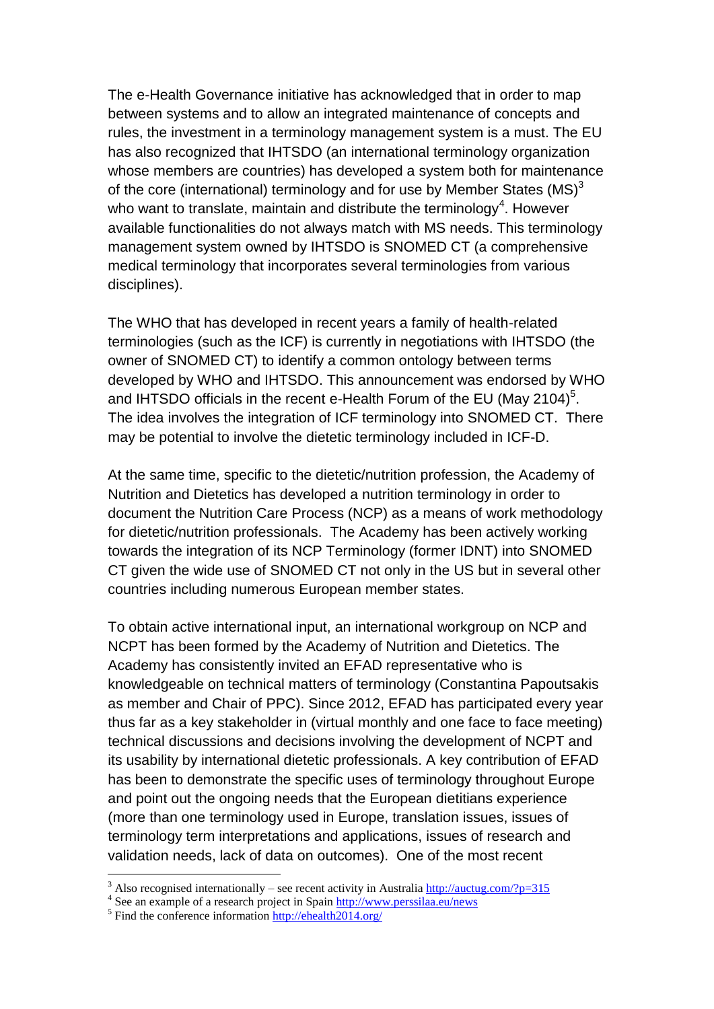The e-Health Governance initiative has acknowledged that in order to map between systems and to allow an integrated maintenance of concepts and rules, the investment in a terminology management system is a must. The EU has also recognized that IHTSDO (an international terminology organization whose members are countries) has developed a system both for maintenance of the core (international) terminology and for use by Member States  $(MS)^3$ who want to translate, maintain and distribute the terminology<sup>4</sup>. However available functionalities do not always match with MS needs. This terminology management system owned by IHTSDO is SNOMED CT (a comprehensive medical terminology that incorporates several terminologies from various disciplines).

The WHO that has developed in recent years a family of health-related terminologies (such as the ICF) is currently in negotiations with IHTSDO (the owner of SNOMED CT) to identify a common ontology between terms developed by WHO and IHTSDO. This announcement was endorsed by WHO and IHTSDO officials in the recent e-Health Forum of the EU (May 2104)<sup>5</sup>. The idea involves the integration of ICF terminology into SNOMED CT. There may be potential to involve the dietetic terminology included in ICF-D.

At the same time, specific to the dietetic/nutrition profession, the Academy of Nutrition and Dietetics has developed a nutrition terminology in order to document the Nutrition Care Process (NCP) as a means of work methodology for dietetic/nutrition professionals. The Academy has been actively working towards the integration of its NCP Terminology (former IDNT) into SNOMED CT given the wide use of SNOMED CT not only in the US but in several other countries including numerous European member states.

To obtain active international input, an international workgroup on NCP and NCPT has been formed by the Academy of Nutrition and Dietetics. The Academy has consistently invited an EFAD representative who is knowledgeable on technical matters of terminology (Constantina Papoutsakis as member and Chair of PPC). Since 2012, EFAD has participated every year thus far as a key stakeholder in (virtual monthly and one face to face meeting) technical discussions and decisions involving the development of NCPT and its usability by international dietetic professionals. A key contribution of EFAD has been to demonstrate the specific uses of terminology throughout Europe and point out the ongoing needs that the European dietitians experience (more than one terminology used in Europe, translation issues, issues of terminology term interpretations and applications, issues of research and validation needs, lack of data on outcomes). One of the most recent

<u>.</u>

<sup>&</sup>lt;sup>3</sup> Also recognised internationally – see recent activity in Australia<http://auctug.com/?p=315>

<sup>&</sup>lt;sup>4</sup> See an example of a research project in Spain http://www.perssilaa.eu/news

<sup>&</sup>lt;sup>5</sup> Find the conference information<http://ehealth2014.org/>